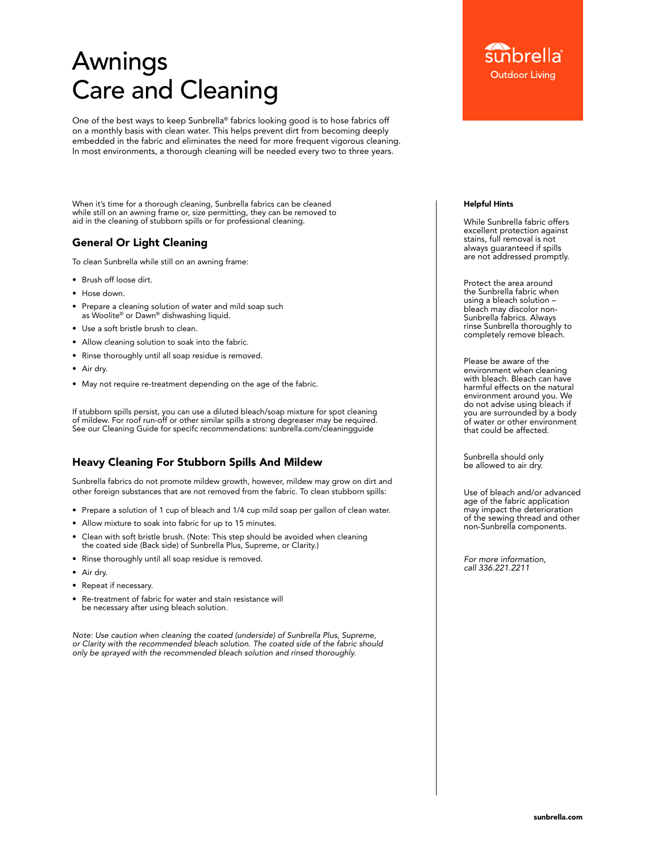# Awnings Care and Cleaning

One of the best ways to keep Sunbrella® fabrics looking good is to hose fabrics off on a monthly basis with clean water. This helps prevent dirt from becoming deeply embedded in the fabric and eliminates the need for more frequent vigorous cleaning. In most environments, a thorough cleaning will be needed every two to three years.

When it's time for a thorough cleaning, Sunbrella fabrics can be cleaned while still on an awning frame or, size permitting, they can be removed to aid in the cleaning of stubborn spills or for professional cleaning.

# General Or Light Cleaning

To clean Sunbrella while still on an awning frame:

- Brush off loose dirt.
- Hose down.
- Prepare a cleaning solution of water and mild soap such as Woolite® or Dawn® dishwashing liquid.
- Use a soft bristle brush to clean.
- Allow cleaning solution to soak into the fabric.
- Rinse thoroughly until all soap residue is removed.
- Air dry.
- May not require re-treatment depending on the age of the fabric.

If stubborn spills persist, you can use a diluted bleach/soap mixture for spot cleaning of mildew. For roof run-off or other similar spills a strong degreaser may be required. See our Cleaning Guide for specifc recommendations: [sunbrella.com/cleaningguide](https://www.sunbrella.com/cleaningguide)

# Heavy Cleaning For Stubborn Spills And Mildew

Sunbrella fabrics do not promote mildew growth, however, mildew may grow on dirt and other foreign substances that are not removed from the fabric. To clean stubborn spills:

- Prepare a solution of 1 cup of bleach and 1/4 cup mild soap per gallon of clean water.
- Allow mixture to soak into fabric for up to 15 minutes.
- Clean with soft bristle brush. (Note: This step should be avoided when cleaning the coated side (Back side) of Sunbrella Plus, Supreme, or Clarity.)
- Rinse thoroughly until all soap residue is removed.
- Air dry.
- Repeat if necessary.
- Re-treatment of fabric for water and stain resistance will be necessary after using bleach solution.

*Note: Use caution when cleaning the coated (underside) of Sunbrella Plus, Supreme, or Clarity with the recommended bleach solution. The coated side of the fabric should only be sprayed with the recommended bleach solution and rinsed thoroughly.*

#### Helpful Hints

While Sunbrella fabric offers excellent protection against stains, full removal is not always guaranteed if spills are not addressed promptly.

Protect the area around the Sunbrella fabric when using a bleach solution – bleach may discolor non-Sunbrella fabrics. Always rinse Sunbrella thoroughly to completely remove bleach.

Please be aware of the environment when cleaning with bleach. Bleach can have harmful effects on the natural environment around you. We do not advise using bleach if you are surrounded by a body of water or other environment that could be affected.

Sunbrella should only be allowed to air dry.

Use of bleach and/or advanced age of the fabric application may impact the deterioration of the sewing thread and other non-Sunbrella components.

*For more information, call 336.221.2211*